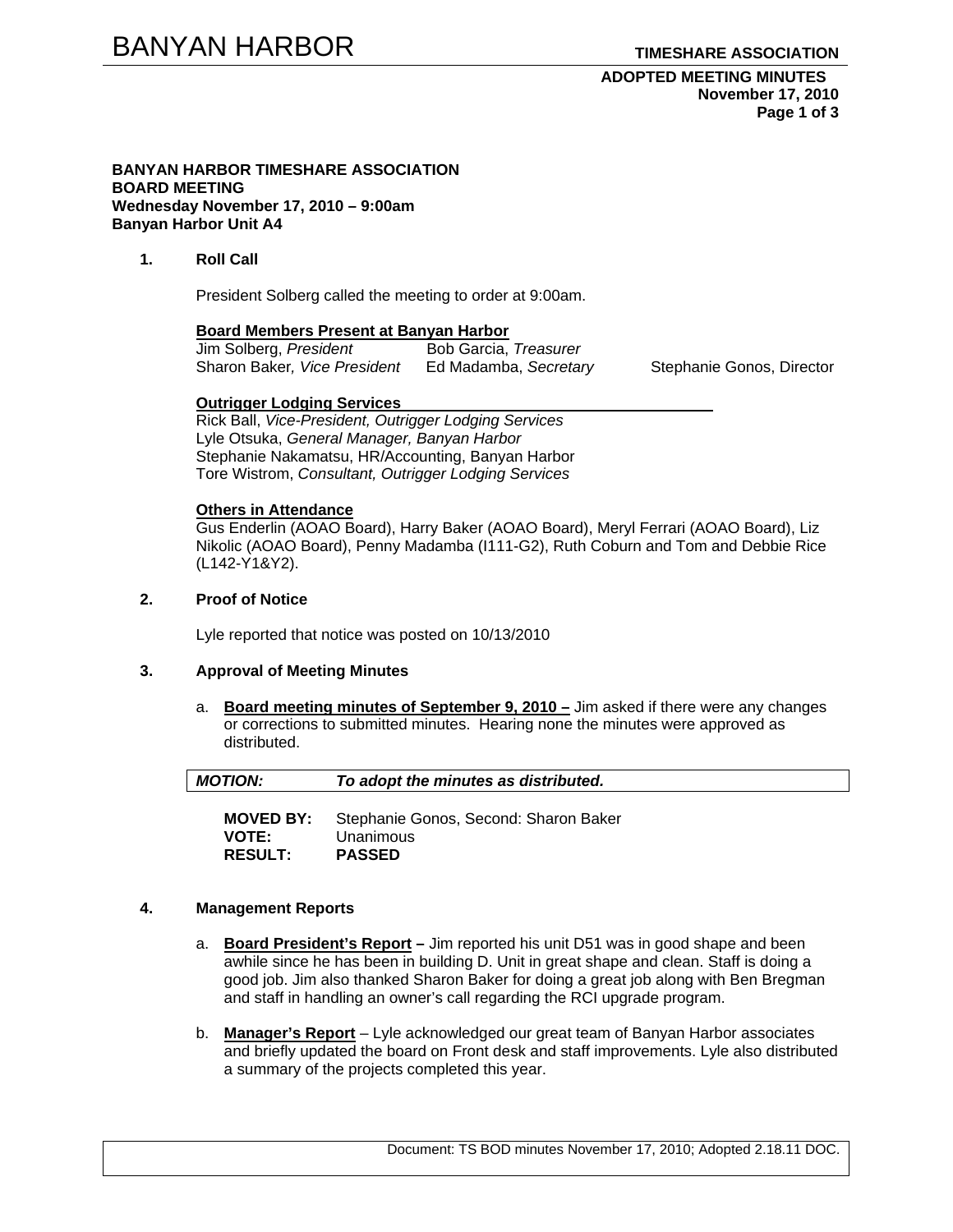### **ADOPTED MEETING MINUTES November 17, 2010 Page 1 of 3**

### **BANYAN HARBOR TIMESHARE ASSOCIATION BOARD MEETING Wednesday November 17, 2010 – 9:00am Banyan Harbor Unit A4**

## **1. Roll Call**

President Solberg called the meeting to order at 9:00am.

### **Board Members Present at Banyan Harbor**

| Jim Solberg, President       | Bob Garcia, Treasurer |
|------------------------------|-----------------------|
| Sharon Baker, Vice President | Ed Madamba, Secretary |

Stephanie Gonos, Director

### **Outrigger Lodging Services**

Rick Ball, *Vice-President, Outrigger Lodging Services* Lyle Otsuka, *General Manager, Banyan Harbor*  Stephanie Nakamatsu, HR/Accounting, Banyan Harbor Tore Wistrom, *Consultant, Outrigger Lodging Services* 

### **Others in Attendance**

Gus Enderlin (AOAO Board), Harry Baker (AOAO Board), Meryl Ferrari (AOAO Board), Liz Nikolic (AOAO Board), Penny Madamba (I111-G2), Ruth Coburn and Tom and Debbie Rice (L142-Y1&Y2).

# **2. Proof of Notice**

Lyle reported that notice was posted on 10/13/2010

## **3. Approval of Meeting Minutes**

a. **Board meeting minutes of September 9, 2010 –** Jim asked if there were any changes or corrections to submitted minutes. Hearing none the minutes were approved as distributed.

| $\parallel$ MOTION: | To adopt the minutes as distributed. |
|---------------------|--------------------------------------|
|                     |                                      |

**MOVED BY:** Stephanie Gonos, Second: Sharon Baker Unanimous **RESULT: PASSED** 

## **4. Management Reports**

- a. **Board President's Report** Jim reported his unit D51 was in good shape and been awhile since he has been in building D. Unit in great shape and clean. Staff is doing a good job. Jim also thanked Sharon Baker for doing a great job along with Ben Bregman and staff in handling an owner's call regarding the RCI upgrade program.
- b. **Manager's Report** Lyle acknowledged our great team of Banyan Harbor associates and briefly updated the board on Front desk and staff improvements. Lyle also distributed a summary of the projects completed this year.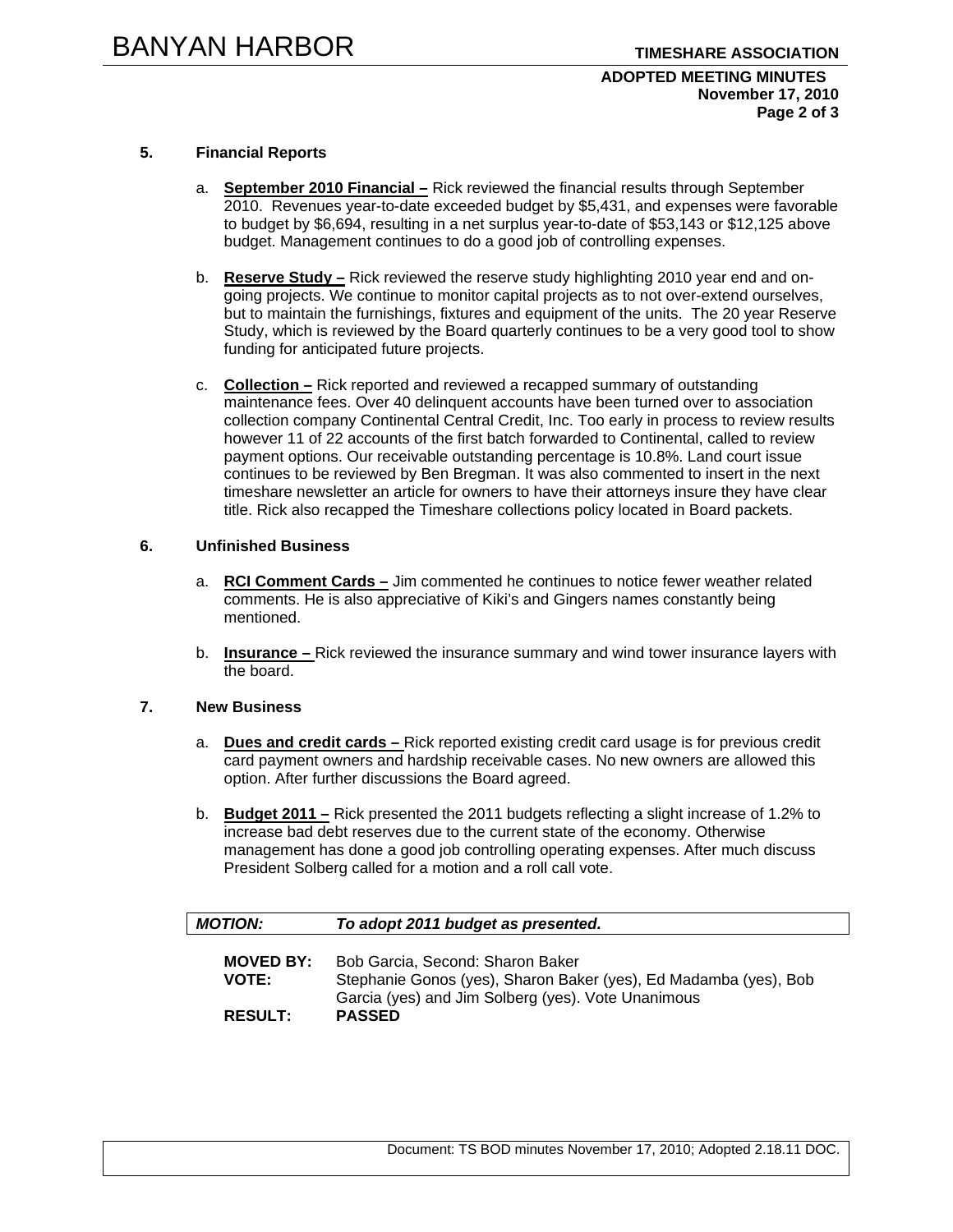### **ADOPTED MEETING MINUTES November 17, 2010 Page 2 of 3**

## **5. Financial Reports**

- a. **September 2010 Financial –** Rick reviewed the financial results through September 2010. Revenues year-to-date exceeded budget by \$5,431, and expenses were favorable to budget by \$6,694, resulting in a net surplus year-to-date of \$53,143 or \$12,125 above budget. Management continues to do a good job of controlling expenses.
- b. **Reserve Study –** Rick reviewed the reserve study highlighting 2010 year end and ongoing projects. We continue to monitor capital projects as to not over-extend ourselves, but to maintain the furnishings, fixtures and equipment of the units. The 20 year Reserve Study, which is reviewed by the Board quarterly continues to be a very good tool to show funding for anticipated future projects.
- c. **Collection –** Rick reported and reviewed a recapped summary of outstanding maintenance fees. Over 40 delinquent accounts have been turned over to association collection company Continental Central Credit, Inc. Too early in process to review results however 11 of 22 accounts of the first batch forwarded to Continental, called to review payment options. Our receivable outstanding percentage is 10.8%. Land court issue continues to be reviewed by Ben Bregman. It was also commented to insert in the next timeshare newsletter an article for owners to have their attorneys insure they have clear title. Rick also recapped the Timeshare collections policy located in Board packets.

### **6. Unfinished Business**

- a. **RCI Comment Cards –** Jim commented he continues to notice fewer weather related comments. He is also appreciative of Kiki's and Gingers names constantly being mentioned.
- b. **Insurance** Rick reviewed the insurance summary and wind tower insurance layers with the board.

### **7. New Business**

- a. **Dues and credit cards** Rick reported existing credit card usage is for previous credit card payment owners and hardship receivable cases. No new owners are allowed this option. After further discussions the Board agreed.
- b. **Budget 2011 –** Rick presented the 2011 budgets reflecting a slight increase of 1.2% to increase bad debt reserves due to the current state of the economy. Otherwise management has done a good job controlling operating expenses. After much discuss President Solberg called for a motion and a roll call vote.

| <b>MOTION:</b>   | To adopt 2011 budget as presented.                                                                                     |
|------------------|------------------------------------------------------------------------------------------------------------------------|
| <b>MOVED BY:</b> | Bob Garcia, Second: Sharon Baker                                                                                       |
| <b>VOTE:</b>     | Stephanie Gonos (yes), Sharon Baker (yes), Ed Madamba (yes), Bob<br>Garcia (yes) and Jim Solberg (yes). Vote Unanimous |
| <b>RESULT:</b>   | <b>PASSED</b>                                                                                                          |